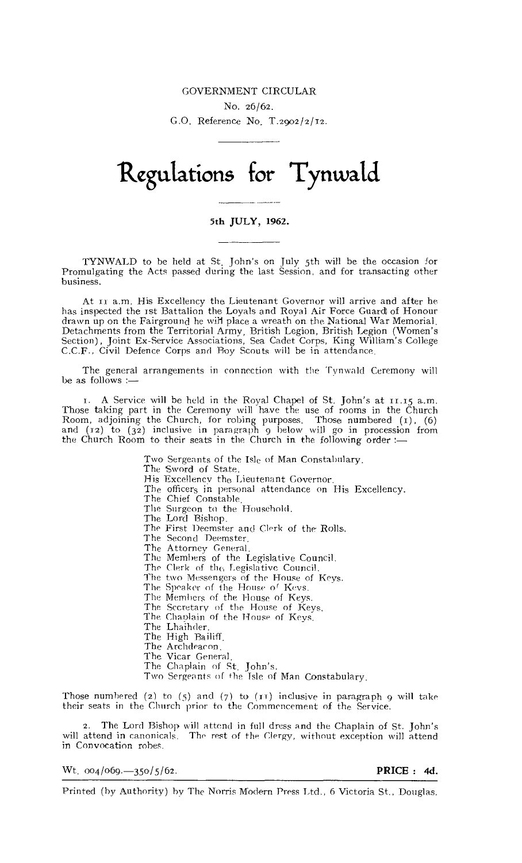## GOVERNMENT CIRCULAR. No. 26/62. G.O. Reference No. T.2902/2/12.

## **Regulations for Tynwald**

## 5th JULY, 1962.

TYNWALD to be held at St. John's on July 5th will be the occasion for Promulgating the Acts passed during the last Session, and for transacting other business.

At ri a.m. His Excellency the Lieutenant Governor will arrive and after he has inspected the Tst Battalion the Loyals and Royal Air Force Guard of Honour drawn up on the Fairground he will place a wreath on the National War Memorial. Detachments from the Territorial Army, British Legion, British Legion (Women's Section), Joint Ex-Service Associations, Sea Cadet Corps, King William's College<br>C.C.F., Civil Defence Corps and Boy Scouts will be in attendan

The general arrangements in connection with the Tynwald Ceremony will be as follows :—

T. A Service will be held in the Royal Chapel of St. John's at 11.15 a.m. Those taking part in the Ceremony will have the use of rooms in the Church Room, adjoining the Church, for robing purposes. Those numbered (1), (6) and (12) to (32) inclusive in paragraph 9 below will go in procession from the Church Room to their seats in the Church in the following order :-

> Two Sergeants of the Isle of Man Constabulary. The Sword of State. His Excellency the Lieutenant Governor. The officers in personal attendance on His Excellency. The Chief Constable, The Surgeon to the Household. The Lord Bishop. The First Deemster and Clerk of the Rolls. The Second Deemster. The Attorney General. The Members of the Legislative Council. The Clerk of the Legislative Council. The two Messengers of the House of Keys. The Speaker of the House of Keys. The Members of the House of Keys. The Secretary of the House of Keys. The Chaplain of the House of Keys. The Lhaihder. The High Bailiff, The Archdeacon. The Vicar General, The Chaplain of St. John's. Two Sergeants of the Tale of Man Constabulary.

Those numbered (2) to (5) and (7) to ( $11$ ) inclusive in paragraph 9 will take their seats in the Church prior to the Commencement of the Service.

2. The Lord Bishop will attend in full dress and the Chaplain of St. John's will attend in canonicals. The rest of the Clergy, without exception will attend in Convocation robes.

 $Wt$ ,  $\frac{1}{1004}/\frac{69}{9} - \frac{350}{5}/\frac{5}{62}$ . PRICE : 4d.

Printed (by Authority) by The Norris Modern Press Ltd., 6 Victoria St., Douglas.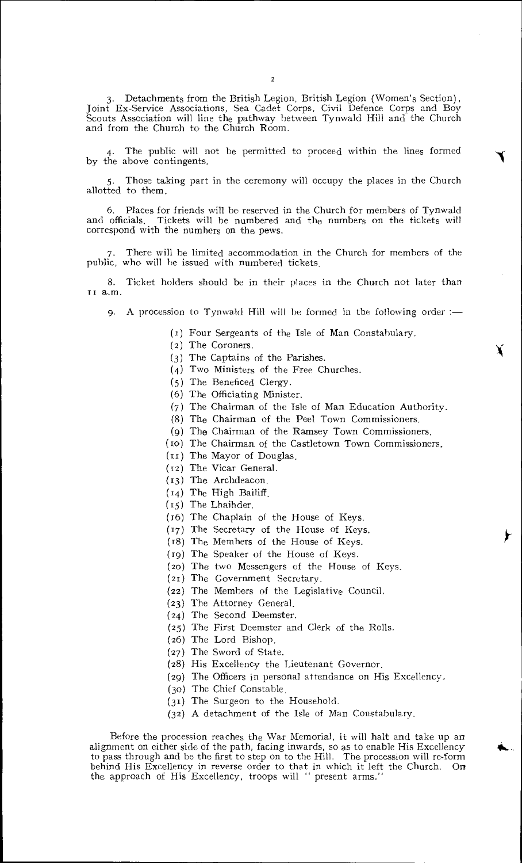3. Detachments from the British Legion. British Legion (Women's Section), Joint Ex-Service Associations, Sea Cadet Corps, Civil Defence Corps and Boy Scouts Association will line the pathway between Tynwald Hill and the Church and from the Church to the Church Room.

4. The public will not be permitted to proceed within the lines formed by the above contingents.

Those taking part in the ceremony will occupy the places in the Church allotted to them.

6. Places for friends will he reserved in the Church for members of Tynwald Tickets will be numbered and the numbers on the tickets will correspond with the numbers on the Dews.

There will be limited accommodation in the Church for members of the public, who will be issued with numbered tickets.

8. Ticket holders should be in their places in the Church not later than TI a.m.

9. A procession to Tynwald Hill will he formed in the following order :—

(I) Four Sergeants of the Isle of Man Constabulary.

- (2) The Coroners.
- (3) The Captains of the Parishes.
- (4) Two Ministers of the Free Churches.
- (5) The Beneficed Clergy.
- (6) The Officiating Minister.
- (7) The Chairman of the Isle of Man Education Authority.
- (8) The Chairman of the Peel Town Commissioners.
- (9) The Chairman of the Ramsey Town Commissioners.
- (ro) The Chairman of the Castletown Town Commissioners.
- (II) The Mayor of Douglas.
- (T2) The Vicar General.
- (13) The Archdeacon.
- (14) The High Bailiff.
- (r5) The Lhaihder.
- (r6) The Chaplain of the House of Keys.
- (17) The Secretary of the House of Keys.
- (r8) The Members of the House of Keys.
- (r9) The Speaker of the House of Keys.
- (20) The two Messengers of the House of Keys.
- (21) The Government Secretary.
- (22) The Members of the Legislative Council.
- (23) The Attorney General.
- (24) The Second Deemster.
- (25) The First Deemster and Clerk of the Rolls.
- (26) The Lord Bishop.
- (27) The Sword of State.
- (28) His Excellency the Lieutenant Governor.
- (29) The Officers in personal attendance on His Excellency.
- (3o) The Chief Constable.
- (31) The Surgeon to the Household.
- (32) A detachment of the Isle of Man Constabulary.

Before the procession reaches the War Memorial, it will halt and take up an alignment on either side of the path, facing inwards, so as to enable His Excellency to pass through and be the first to step on to the Hill. The procession will re-form behind His Excellency in reverse order to that in which it left the Church. On the approach of His Excellency, troops will " present arms."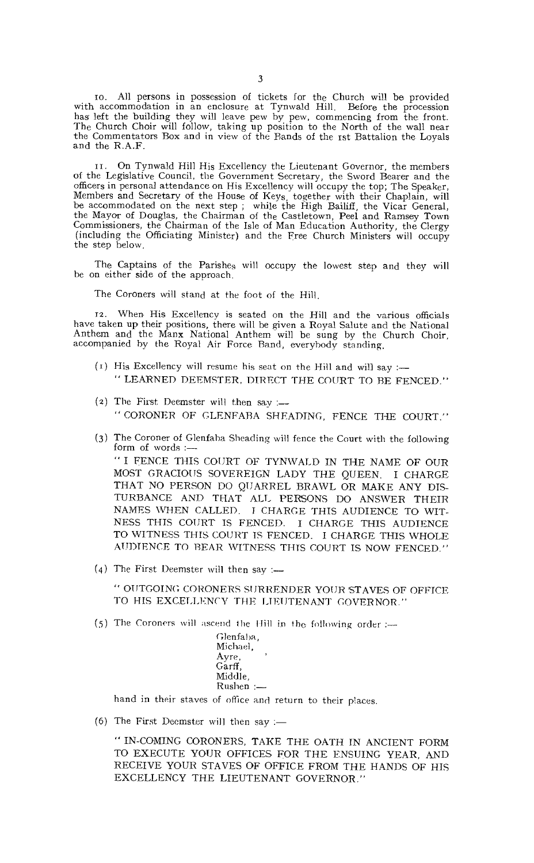so. All persons in possession of tickets for the Church will be provided with accommodation in an enclosure at Tynwald Hill. Before the procession has left the building they will leave pew by pew, commencing from the front. The Church Choir will follow, taking up position to the North of the wall near the Commentators Box and in view of the Bands of the 1st Battalion the Loyals and the R.A.F.

On Tynwald Hill His Excellency the Lieutenant Governor, the members of the Legislative Council, the Government Secretary, the Sword Bearer and the officers in personal attendance on His Excellency will occupy the top; The Speaker, Members and Secretary of the House of Keys, together with their Chaplain, will be accommodated on the next step ; while the High Bailiff, the Vicar General, the Mayor of Douglas, the Chairman of the Castletown, Peel and Ramsey Town Commissioners, the Chairman of the Isle of Man Education Authority, the Clergy (including the Officiating Minister) and the Free Church Ministers will occupy the step below.

The Captains of the Parishes will occupy the lowest step and they will be on either side of the approach.

The Coroners will stand at the foot of the Hill.

rz. When His Excellency is seated on the Hill and the various officials have taken up their positions, there will he given a Royal Salute and the National Anthem and the Manx National Anthem will be sung by the Church Choir, accompanied by the Royal Air Force Band, everybody standing.

- (1) His Excellency will resume his seat on the Hill and will say :-" LEARNED DEEMSTER, DIRECT THE COURT TO BE FENCED."
- (2) The First Deemster will then say :-" CORONER OF GLENFABA SHEADING, FENCE THE COURT."
- (3) The Coroner of Glenfaba Sheading will fence the Court with the following form of words :-

" I FENCE THIS COURT OF TYNWALD IN THE NAME OF OUR MOST GRACIOUS SOVEREIGN LADY THE QUEEN. I CHARGE THAT NO PERSON DO QUARREL BRAWL OR MAKE ANY DIS-TURBANCE AND THAT ALL PERSONS DO ANSWER THEIR NAMES WHEN CALLED. I CHARGE THIS AUDIENCE TO WIT-NESS THIS COURT IS FENCED. I CHARGE THIS AUDIENCE TO WITNESS THIS COURT TS FENCED. I CHARGE THIS WHOLE AUDIENCE TO BEAR WITNESS THIS COURT IS NOW FENCED."

(4) The First Deemster will then say :-

" OUTGOING CORONERS SURRENDER YOUR STAVES OF OFFICE TO HIS EXCELLENCY THE LIEUTENANT GOVERNOR."

(5) The Coroners will ascend the Hill in the following order  $:=$ 

| Glenfaba, |  |
|-----------|--|
| Michael.  |  |
| Ayre,     |  |
| Garff.    |  |
| Middle,   |  |
| Rushen    |  |

hand in their staves of office and return to their places.

(6) The First Deemster will then say :-

" IN-COMING CORONERS, TAKE THE OATH IN ANCIENT FORM TO EXECUTE YOUR OFFICES FOR THE ENSUING YEAR, AND RECEIVE YOUR STAVES OF OFFICE FROM THE HANDS OF HIS EXCELLENCY THE LIEUTENANT GOVERNOR."